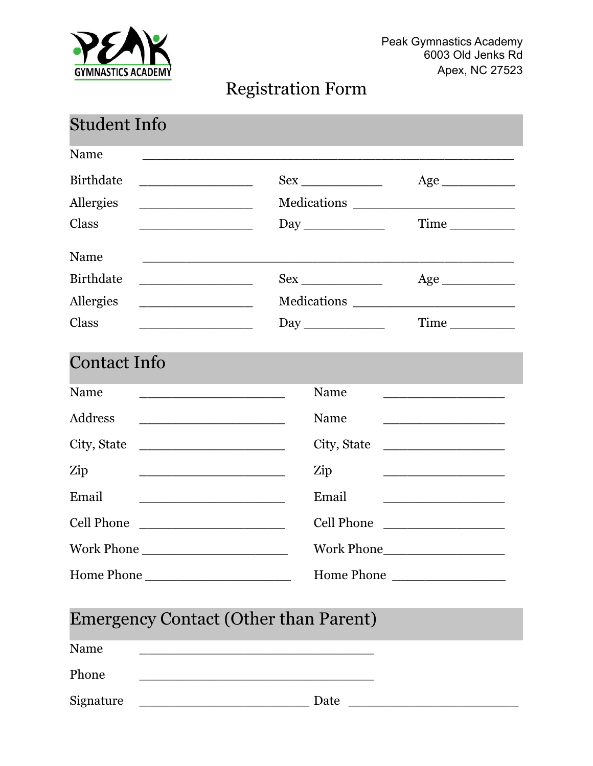

## Registration Form

| <b>Student Info</b>                                                                                                                                                                                                                         |                                                                                                                        |                                                                                                                       |
|---------------------------------------------------------------------------------------------------------------------------------------------------------------------------------------------------------------------------------------------|------------------------------------------------------------------------------------------------------------------------|-----------------------------------------------------------------------------------------------------------------------|
| Name                                                                                                                                                                                                                                        |                                                                                                                        |                                                                                                                       |
| <b>Birthdate</b><br><u> 1990 - Johann Barn, mars ann an t-Amhair ann an t-A</u>                                                                                                                                                             | $Sex \_$                                                                                                               | Age                                                                                                                   |
| Allergies                                                                                                                                                                                                                                   |                                                                                                                        |                                                                                                                       |
| Class                                                                                                                                                                                                                                       |                                                                                                                        |                                                                                                                       |
| Name                                                                                                                                                                                                                                        |                                                                                                                        |                                                                                                                       |
| <b>Birthdate</b><br><u> 1989 - Johann Barbara, martxa alemaniar a</u>                                                                                                                                                                       | $Sex \_$                                                                                                               | Age                                                                                                                   |
| Allergies<br><u> 1989 - Johann Stoff, fransk politik (d. 1989)</u>                                                                                                                                                                          |                                                                                                                        |                                                                                                                       |
| Class                                                                                                                                                                                                                                       |                                                                                                                        | Time                                                                                                                  |
| <b>Contact Info</b>                                                                                                                                                                                                                         |                                                                                                                        |                                                                                                                       |
| Name<br><u> 1989 - Johann Barbara, martin amerikan basar dan bagi dan bagi dalam bagi dalam bagi dalam bagi dalam bagi da</u>                                                                                                               | Name                                                                                                                   | <u> 1989 - Johann Barbara, martin amerikan basar dan berasal dalam basar dalam basar dalam basar dalam basar dala</u> |
| Address<br><u> 1989 - Johann Barn, mars an t-Amerikaansk politiker (</u>                                                                                                                                                                    | Name                                                                                                                   | <u> 1989 - Johann Barbara, martxa alemaniar a</u>                                                                     |
| City, State                                                                                                                                                                                                                                 | City, State                                                                                                            |                                                                                                                       |
| Zip<br><u> 1980 - Johann John Harry Harry Harry Harry Harry Harry Harry Harry Harry Harry Harry Harry Harry Harry Harry Harry Harry Harry Harry Harry Harry Harry Harry Harry Harry Harry Harry Harry Harry Harry Harry Harry Harry Har</u> | Zip                                                                                                                    | <u> 1990 - Johann Barn, mars ann an t-Amhain an t-Amhain an t-Amhain an t-Amhain an t-Amhain an t-Amhain an t-A</u>   |
| Email                                                                                                                                                                                                                                       | Email                                                                                                                  | <u> 1989 - Johann Barbara, martin a</u>                                                                               |
| <b>Cell Phone</b><br><u> 1980 - Jan Barbarat, martin da shekara 1980 - An</u>                                                                                                                                                               | <b>Cell Phone</b>                                                                                                      | <u> 1980 - Jan Barbara Barbara, maskin</u>                                                                            |
| Work Phone                                                                                                                                                                                                                                  |                                                                                                                        |                                                                                                                       |
| Home Phone                                                                                                                                                                                                                                  |                                                                                                                        | Home Phone                                                                                                            |
| <b>Emergency Contact (Other than Parent)</b>                                                                                                                                                                                                |                                                                                                                        |                                                                                                                       |
| Name                                                                                                                                                                                                                                        | <u> 1989 - Johann Stoff, deutscher Stoff, deutscher Stoff, der Stoff, der Stoff, der Stoff, der Stoff, der Stoff, </u> |                                                                                                                       |
| Phone                                                                                                                                                                                                                                       |                                                                                                                        |                                                                                                                       |
| Signature                                                                                                                                                                                                                                   | Date                                                                                                                   |                                                                                                                       |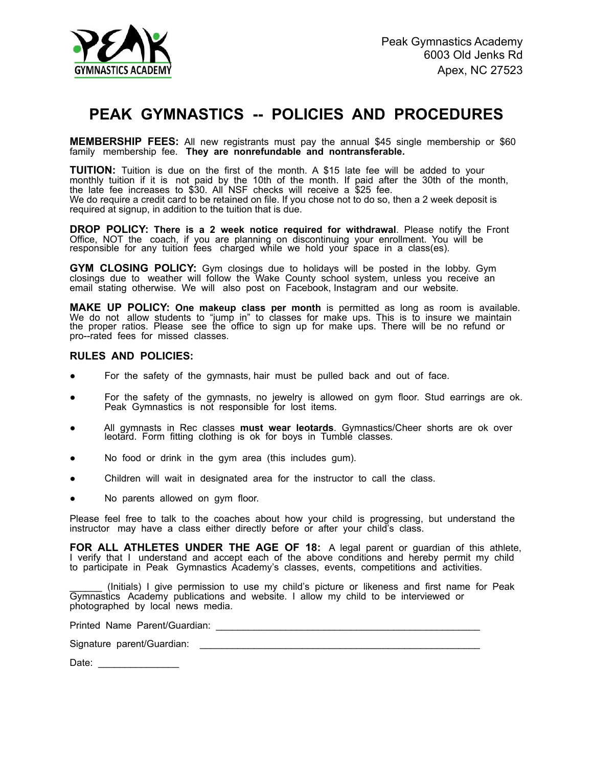

## **PEAK GYMNASTICS -- POLICIES AND PROCEDURES**

**MEMBERSHIP FEES:** All new registrants must pay the annual \$45 single membership or \$60 family membership fee. They are nonrefundable and nontransferable.

**TUITION:** Tuition is due on the first of the month. A \$15 late fee will be added to your monthly tuition if it is not paid by the 10th of the month. If paid after the 30th of the month, the late fee increases to \$30. All NSF checks will receive a \$25 fee. We do require a credit card to be retained on file. If you chose not to do so, then a 2 week deposit is required at signup, in addition to the tuition that is due.

**DROP POLICY: There is a 2 week notice required for withdrawal**. Please notify the Front Office, NOT the coach, if you are planning on discontinuing your enrollment. You will be responsible for any tuition fees charged while we hold your space in a class(es).

**GYM CLOSING POLICY:** Gym closings due to holidays will be posted in the lobby. Gym closings due toweather will follow the Wake County school system, unless you receive an email stating otherwise. We will also post on Facebook, Instagram and our website.

**MAKE UP POLICY: One makeup class per month** is permitted as long as room is available. We do not allow students to "jump in" to classes for make ups. This is to insure we maintain<br>the proper ratios. Please see the office to sign up for make ups. There will be no refund or pro--rated fees for missed classes.

## **RULES AND POLICIES:**

- For the safety of the gymnasts, hair must be pulled back and out of face.
- For the safety of the gymnasts, no jewelry is allowed on gym floor. Stud earrings are ok. Peak Gymnastics is not responsible for lost items.
- All gymnasts in Rec classes **must wear leotards**. Gymnastics/Cheer shorts are ok over leotard. Form fitting clothing is ok for boys in Tumble classes.
- No food or drink in the gym area (this includes gum).
- Children will wait in designated area for the instructor to call the class.
- No parents allowed on gym floor.

Please feel free to talk to the coaches about how your child is progressing, but understand the instructor may have a class either directly before or after your child's class.

**FOR ALL ATHLETES UNDER THE AGE OF 18:** A legal parent or guardian of this athlete, I verify that I understand and accept each of the above conditions and hereby permit my child to participate in Peak Gymnastics Academy's classes, events, competitions and activities.

\_\_\_\_\_\_ (Initials) I give permission to use my child's picture or likeness and first name for Peak Gymnastics Academy publications and website. I allow my child to be interviewed or photographed by local news media.

Printed Name Parent/Guardian: \_\_\_\_\_\_\_\_\_\_\_\_\_\_\_\_\_\_\_\_\_\_\_\_\_\_\_\_\_\_\_\_\_\_\_\_\_\_\_\_\_\_\_\_\_\_\_\_\_

Signature parent/Guardian: \_\_\_\_\_\_\_\_\_\_\_\_\_\_\_\_\_\_\_\_\_\_\_\_\_\_\_\_\_\_\_\_\_\_\_\_\_\_\_\_\_\_\_\_\_\_\_\_\_\_\_\_

Date: \_\_\_\_\_\_\_\_\_\_\_\_\_\_\_